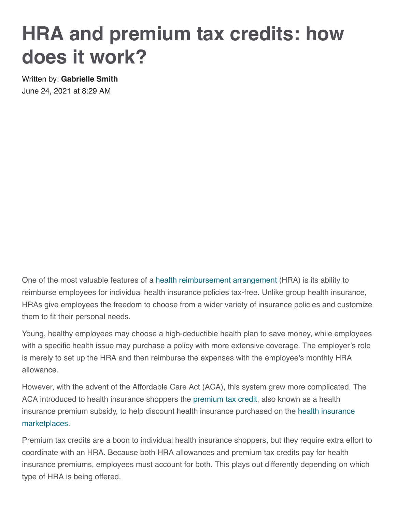# **HRA and premium tax credits: how does it work?**

Written by: **[Gabrielle Smith](https://www.peoplekeep.com/blog/author/gabrielle-smith)** June 24, 2021 at 8:29 AM

One of the most valuable features of a [health reimbursement arrangement](https://www.peoplekeep.com/health-reimbursement-arrangement-hra) (HRA) is its ability to reimburse employees for individual health insurance policies tax-free. Unlike group health insurance, HRAs give employees the freedom to choose from a wider variety of insurance policies and customize them to fit their personal needs.

Young, healthy employees may choose a high-deductible health plan to save money, while employees with a specific health issue may purchase a policy with more extensive coverage. The employer's role is merely to set up the HRA and then reimburse the expenses with the employee's monthly HRA allowance.

However, with the advent of the Affordable Care Act (ACA), this system grew more complicated. The ACA introduced to health insurance shoppers the [premium tax credit,](https://www.peoplekeep.com/blog/everything-you-need-to-know-about-premium-tax-credits) also known as a health [insurance premium subsidy, to help discount health insurance purchased on the](https://www.peoplekeep.com/blog/how-to-get-in-on-new-marketplace-savings-and-lower-premium-costs) health insurance marketplaces.

Premium tax credits are a boon to individual health insurance shoppers, but they require extra effort to coordinate with an HRA. Because both HRA allowances and premium tax credits pay for health insurance premiums, employees must account for both. This plays out differently depending on which type of HRA is being offered.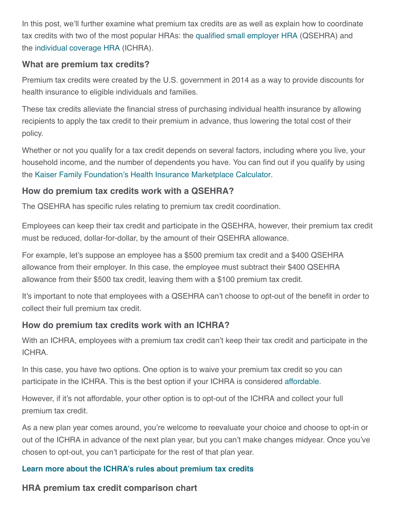In this post, we'll further examine what premium tax credits are as well as explain how to coordinate tax credits with two of the most popular HRAs: the [qualified small employer HRA](https://www.peoplekeep.com/qualified-small-employer-hra-qsehra) (QSEHRA) and the [individual coverage HRA](https://www.peoplekeep.com/individual-coverage-hra-ichra) (ICHRA).

#### **What are premium tax credits?**

Premium tax credits were created by the U.S. government in 2014 as a way to provide discounts for health insurance to eligible individuals and families.

These tax credits alleviate the financial stress of purchasing individual health insurance by allowing recipients to apply the tax credit to their premium in advance, thus lowering the total cost of their policy.

Whether or not you qualify for a tax credit depends on several factors, including where you live, your household income, and the number of dependents you have. You can find out if you qualify by using the [Kaiser Family Foundation's Health Insurance Marketplace Calculator.](https://www.kff.org/interactive/subsidy-calculator/)

## **How do premium tax credits work with a QSEHRA?**

The QSEHRA has specific rules relating to premium tax credit coordination.

Employees can keep their tax credit and participate in the QSEHRA, however, their premium tax credit must be reduced, dollar-for-dollar, by the amount of their QSEHRA allowance.

For example, let's suppose an employee has a \$500 premium tax credit and a \$400 QSEHRA allowance from their employer. In this case, the employee must subtract their \$400 QSEHRA allowance from their \$500 tax credit, leaving them with a \$100 premium tax credit.

It's important to note that employees with a QSEHRA can't choose to opt-out of the benefit in order to collect their full premium tax credit.

## **How do premium tax credits work with an ICHRA?**

With an ICHRA, employees with a premium tax credit can't keep their tax credit and participate in the ICHRA.

In this case, you have two options. One option is to waive your premium tax credit so you can participate in the ICHRA. This is the best option if your ICHRA is considered [affordable](https://www.peoplekeep.com/ichra-affordability-calculator).

However, if it's not affordable, your other option is to opt-out of the ICHRA and collect your full premium tax credit.

As a new plan year comes around, you're welcome to reevaluate your choice and choose to opt-in or out of the ICHRA in advance of the next plan year, but you can't make changes midyear. Once you've chosen to opt-out, you can't participate for the rest of that plan year.

### **[Learn more about the ICHRA's rules about premium tax credits](https://www.peoplekeep.com/blog/the-ichra-and-premium-tax-credits-what-are-the-rules)**

**HRA premium tax credit comparison chart**